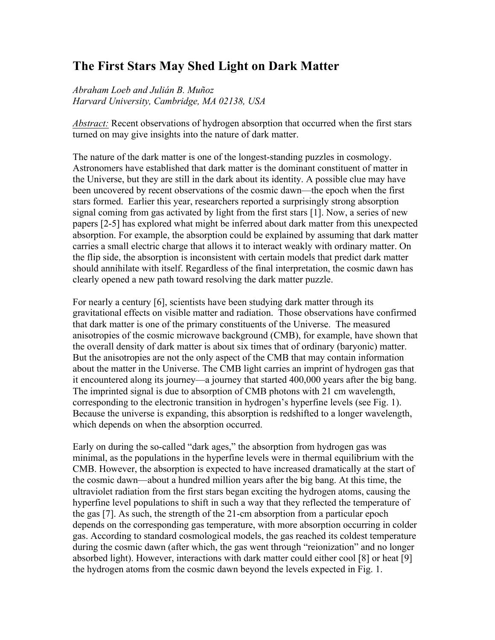## **The First Stars May Shed Light on Dark Matter**

*Abraham Loeb and Julián B. Muñoz Harvard University, Cambridge, MA 02138, USA*

*Abstract:* Recent observations of hydrogen absorption that occurred when the first stars turned on may give insights into the nature of dark matter.

The nature of the dark matter is one of the longest-standing puzzles in cosmology. Astronomers have established that dark matter is the dominant constituent of matter in the Universe, but they are still in the dark about its identity. A possible clue may have been uncovered by recent observations of the cosmic dawn—the epoch when the first stars formed. Earlier this year, researchers reported a surprisingly strong absorption signal coming from gas activated by light from the first stars [1]. Now, a series of new papers [2-5] has explored what might be inferred about dark matter from this unexpected absorption. For example, the absorption could be explained by assuming that dark matter carries a small electric charge that allows it to interact weakly with ordinary matter. On the flip side, the absorption is inconsistent with certain models that predict dark matter should annihilate with itself. Regardless of the final interpretation, the cosmic dawn has clearly opened a new path toward resolving the dark matter puzzle.

For nearly a century [6], scientists have been studying dark matter through its gravitational effects on visible matter and radiation. Those observations have confirmed that dark matter is one of the primary constituents of the Universe. The measured anisotropies of the cosmic microwave background (CMB), for example, have shown that the overall density of dark matter is about six times that of ordinary (baryonic) matter. But the anisotropies are not the only aspect of the CMB that may contain information about the matter in the Universe. The CMB light carries an imprint of hydrogen gas that it encountered along its journey—a journey that started 400,000 years after the big bang. The imprinted signal is due to absorption of CMB photons with 21 cm wavelength, corresponding to the electronic transition in hydrogen's hyperfine levels (see Fig. 1). Because the universe is expanding, this absorption is redshifted to a longer wavelength, which depends on when the absorption occurred.

Early on during the so-called "dark ages," the absorption from hydrogen gas was minimal, as the populations in the hyperfine levels were in thermal equilibrium with the CMB. However, the absorption is expected to have increased dramatically at the start of the cosmic dawn—about a hundred million years after the big bang. At this time, the ultraviolet radiation from the first stars began exciting the hydrogen atoms, causing the hyperfine level populations to shift in such a way that they reflected the temperature of the gas [7]. As such, the strength of the 21-cm absorption from a particular epoch depends on the corresponding gas temperature, with more absorption occurring in colder gas. According to standard cosmological models, the gas reached its coldest temperature during the cosmic dawn (after which, the gas went through "reionization" and no longer absorbed light). However, interactions with dark matter could either cool [8] or heat [9] the hydrogen atoms from the cosmic dawn beyond the levels expected in Fig. 1.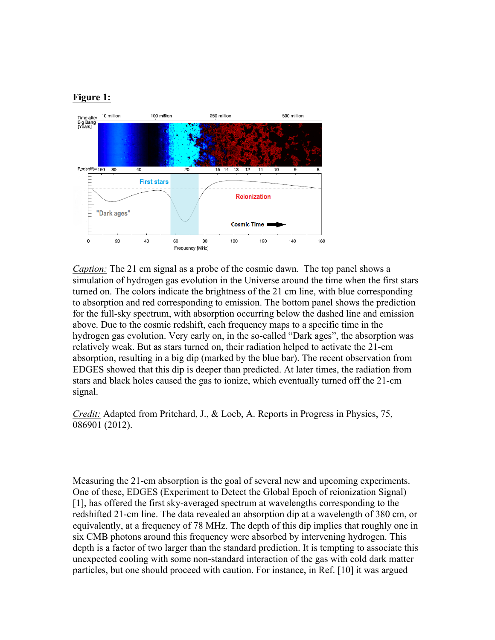## **Figure 1:**



 $\mathcal{L}_\mathcal{L} = \mathcal{L}_\mathcal{L} = \mathcal{L}_\mathcal{L} = \mathcal{L}_\mathcal{L} = \mathcal{L}_\mathcal{L} = \mathcal{L}_\mathcal{L} = \mathcal{L}_\mathcal{L} = \mathcal{L}_\mathcal{L} = \mathcal{L}_\mathcal{L} = \mathcal{L}_\mathcal{L} = \mathcal{L}_\mathcal{L} = \mathcal{L}_\mathcal{L} = \mathcal{L}_\mathcal{L} = \mathcal{L}_\mathcal{L} = \mathcal{L}_\mathcal{L} = \mathcal{L}_\mathcal{L} = \mathcal{L}_\mathcal{L}$ 

*Caption:* The 21 cm signal as a probe of the cosmic dawn. The top panel shows a simulation of hydrogen gas evolution in the Universe around the time when the first stars turned on. The colors indicate the brightness of the 21 cm line, with blue corresponding to absorption and red corresponding to emission. The bottom panel shows the prediction for the full-sky spectrum, with absorption occurring below the dashed line and emission above. Due to the cosmic redshift, each frequency maps to a specific time in the hydrogen gas evolution. Very early on, in the so-called "Dark ages", the absorption was relatively weak. But as stars turned on, their radiation helped to activate the 21-cm absorption, resulting in a big dip (marked by the blue bar). The recent observation from EDGES showed that this dip is deeper than predicted. At later times, the radiation from stars and black holes caused the gas to ionize, which eventually turned off the 21-cm signal.

*Credit:* Adapted from Pritchard, J., & Loeb, A. Reports in Progress in Physics, 75, 086901 (2012).

 $\mathcal{L}_\text{max} = \frac{1}{2} \sum_{i=1}^n \mathcal{L}_\text{max}(\mathbf{z}_i - \mathbf{z}_i)$ 

Measuring the 21-cm absorption is the goal of several new and upcoming experiments. One of these, EDGES (Experiment to Detect the Global Epoch of reionization Signal) [1], has offered the first sky-averaged spectrum at wavelengths corresponding to the redshifted 21-cm line. The data revealed an absorption dip at a wavelength of 380 cm, or equivalently, at a frequency of 78 MHz. The depth of this dip implies that roughly one in six CMB photons around this frequency were absorbed by intervening hydrogen. This depth is a factor of two larger than the standard prediction. It is tempting to associate this unexpected cooling with some non-standard interaction of the gas with cold dark matter particles, but one should proceed with caution. For instance, in Ref. [10] it was argued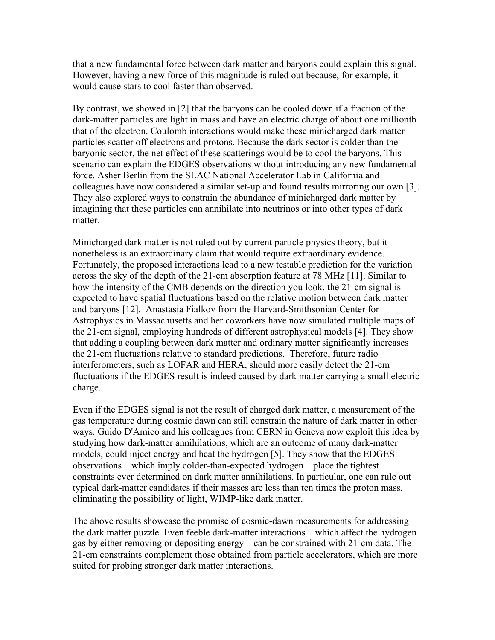that a new fundamental force between dark matter and baryons could explain this signal. However, having a new force of this magnitude is ruled out because, for example, it would cause stars to cool faster than observed.

By contrast, we showed in [2] that the baryons can be cooled down if a fraction of the dark-matter particles are light in mass and have an electric charge of about one millionth that of the electron. Coulomb interactions would make these minicharged dark matter particles scatter off electrons and protons. Because the dark sector is colder than the baryonic sector, the net effect of these scatterings would be to cool the baryons. This scenario can explain the EDGES observations without introducing any new fundamental force. Asher Berlin from the SLAC National Accelerator Lab in California and colleagues have now considered a similar set-up and found results mirroring our own [3]. They also explored ways to constrain the abundance of minicharged dark matter by imagining that these particles can annihilate into neutrinos or into other types of dark matter.

Minicharged dark matter is not ruled out by current particle physics theory, but it nonetheless is an extraordinary claim that would require extraordinary evidence. Fortunately, the proposed interactions lead to a new testable prediction for the variation across the sky of the depth of the 21-cm absorption feature at 78 MHz [11]. Similar to how the intensity of the CMB depends on the direction you look, the 21-cm signal is expected to have spatial fluctuations based on the relative motion between dark matter and baryons [12]. Anastasia Fialkov from the Harvard-Smithsonian Center for Astrophysics in Massachusetts and her coworkers have now simulated multiple maps of the 21-cm signal, employing hundreds of different astrophysical models [4]. They show that adding a coupling between dark matter and ordinary matter significantly increases the 21-cm fluctuations relative to standard predictions. Therefore, future radio interferometers, such as LOFAR and HERA, should more easily detect the 21-cm fluctuations if the EDGES result is indeed caused by dark matter carrying a small electric charge.

Even if the EDGES signal is not the result of charged dark matter, a measurement of the gas temperature during cosmic dawn can still constrain the nature of dark matter in other ways. Guido D'Amico and his colleagues from CERN in Geneva now exploit this idea by studying how dark-matter annihilations, which are an outcome of many dark-matter models, could inject energy and heat the hydrogen [5]. They show that the EDGES observations—which imply colder-than-expected hydrogen—place the tightest constraints ever determined on dark matter annihilations. In particular, one can rule out typical dark-matter candidates if their masses are less than ten times the proton mass, eliminating the possibility of light, WIMP-like dark matter.

The above results showcase the promise of cosmic-dawn measurements for addressing the dark matter puzzle. Even feeble dark-matter interactions—which affect the hydrogen gas by either removing or depositing energy—can be constrained with 21-cm data. The 21-cm constraints complement those obtained from particle accelerators, which are more suited for probing stronger dark matter interactions.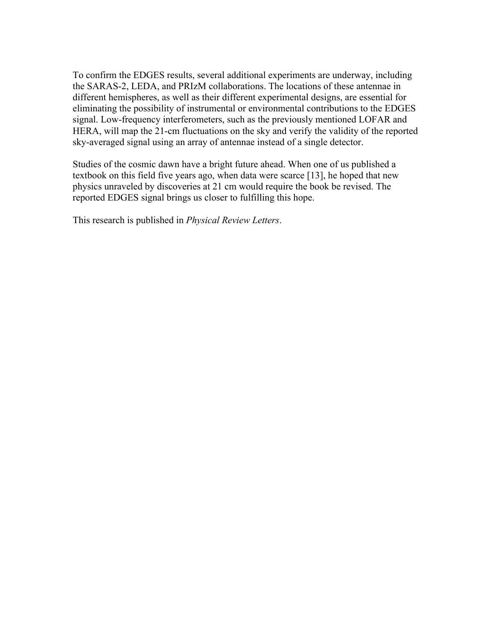To confirm the EDGES results, several additional experiments are underway, including the SARAS-2, LEDA, and PRIzM collaborations. The locations of these antennae in different hemispheres, as well as their different experimental designs, are essential for eliminating the possibility of instrumental or environmental contributions to the EDGES signal. Low-frequency interferometers, such as the previously mentioned LOFAR and HERA, will map the 21-cm fluctuations on the sky and verify the validity of the reported sky-averaged signal using an array of antennae instead of a single detector.

Studies of the cosmic dawn have a bright future ahead. When one of us published a textbook on this field five years ago, when data were scarce [13], he hoped that new physics unraveled by discoveries at 21 cm would require the book be revised. The reported EDGES signal brings us closer to fulfilling this hope.

This research is published in *Physical Review Letters*.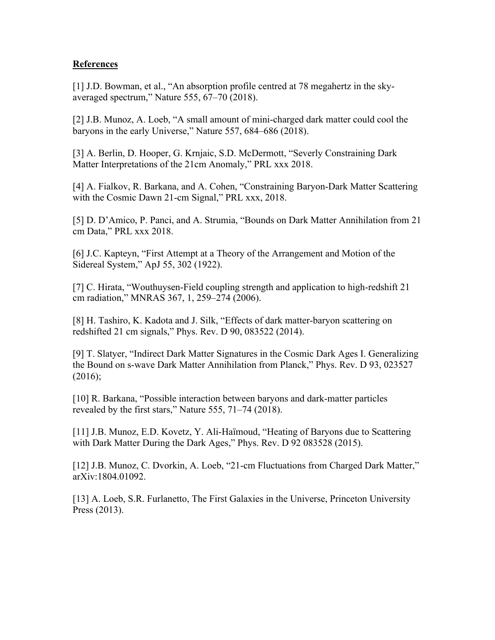## **References**

[1] J.D. Bowman, et al., "An absorption profile centred at 78 megahertz in the skyaveraged spectrum," Nature 555, 67–70 (2018).

[2] J.B. Munoz, A. Loeb, "A small amount of mini-charged dark matter could cool the baryons in the early Universe," Nature 557, 684–686 (2018).

[3] A. Berlin, D. Hooper, G. Krnjaic, S.D. McDermott, "Severly Constraining Dark Matter Interpretations of the 21cm Anomaly," PRL xxx 2018.

[4] A. Fialkov, R. Barkana, and A. Cohen, "Constraining Baryon-Dark Matter Scattering with the Cosmic Dawn 21-cm Signal," PRL xxx, 2018.

[5] D. D'Amico, P. Panci, and A. Strumia, "Bounds on Dark Matter Annihilation from 21 cm Data," PRL xxx 2018.

[6] J.C. Kapteyn, "First Attempt at a Theory of the Arrangement and Motion of the Sidereal System," ApJ 55, 302 (1922).

[7] C. Hirata, "Wouthuysen-Field coupling strength and application to high-redshift 21 cm radiation," MNRAS 367, 1, 259–274 (2006).

[8] H. Tashiro, K. Kadota and J. Silk, "Effects of dark matter-baryon scattering on redshifted 21 cm signals," Phys. Rev. D 90, 083522 (2014).

[9] T. Slatyer, "Indirect Dark Matter Signatures in the Cosmic Dark Ages I. Generalizing the Bound on s-wave Dark Matter Annihilation from Planck," Phys. Rev. D 93, 023527  $(2016);$ 

[10] R. Barkana, "Possible interaction between baryons and dark-matter particles revealed by the first stars," Nature 555, 71–74 (2018).

[11] J.B. Munoz, E.D. Kovetz, Y. Ali-Haïmoud, "Heating of Baryons due to Scattering with Dark Matter During the Dark Ages," Phys. Rev. D 92 083528 (2015).

[12] J.B. Munoz, C. Dvorkin, A. Loeb, "21-cm Fluctuations from Charged Dark Matter," arXiv:1804.01092.

[13] A. Loeb, S.R. Furlanetto, The First Galaxies in the Universe, Princeton University Press (2013).